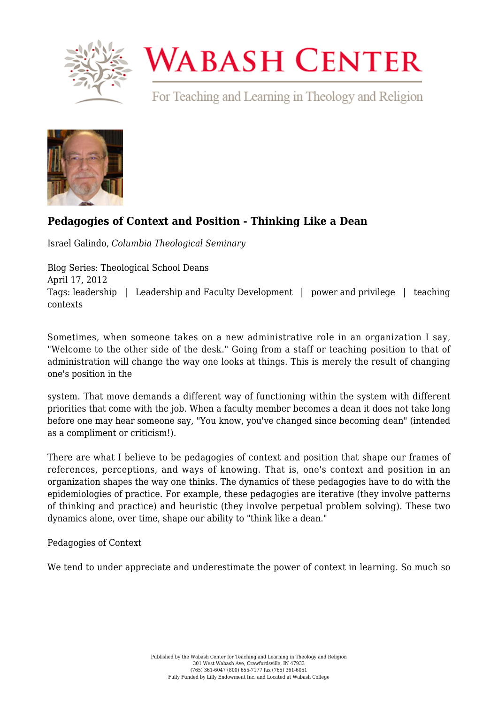

## **WABASH CENTER**

For Teaching and Learning in Theology and Religion



## **[Pedagogies of Context and Position - Thinking Like a Dean](https://www.wabashcenter.wabash.edu/2012/04/pedagogies-of-context-and-position-thinking-like-a-dean/)**

Israel Galindo, *Columbia Theological Seminary*

Blog Series: Theological School Deans April 17, 2012 Tags: leadership | Leadership and Faculty Development | power and privilege | teaching contexts

Sometimes, when someone takes on a new administrative role in an organization I say, "Welcome to the other side of the desk." Going from a staff or teaching position to that of administration will change the way one looks at things. This is merely the result of changing one's position in the

system. That move demands a different way of functioning within the system with different priorities that come with the job. When a faculty member becomes a dean it does not take long before one may hear someone say, "You know, you've changed since becoming dean" (intended as a compliment or criticism!).

There are what I believe to be pedagogies of context and position that shape our frames of references, perceptions, and ways of knowing. That is, one's context and position in an organization shapes the way one thinks. The dynamics of these pedagogies have to do with the epidemiologies of practice. For example, these pedagogies are iterative (they involve patterns of thinking and practice) and heuristic (they involve perpetual problem solving). These two dynamics alone, over time, shape our ability to "think like a dean."

Pedagogies of Context

We tend to under appreciate and underestimate the power of context in learning. So much so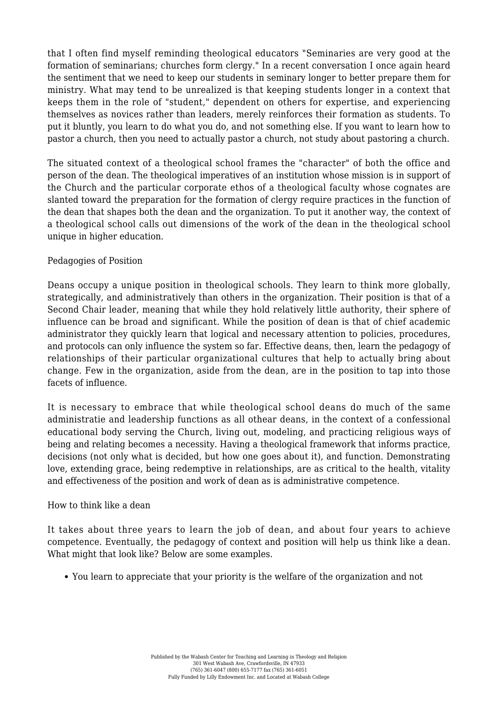that I often find myself reminding theological educators "Seminaries are very good at the formation of seminarians; churches form clergy." In a recent conversation I once again heard the sentiment that we need to keep our students in seminary longer to better prepare them for ministry. What may tend to be unrealized is that keeping students longer in a context that keeps them in the role of "student," dependent on others for expertise, and experiencing themselves as novices rather than leaders, merely reinforces their formation as students. To put it bluntly, you learn to do what you do, and not something else. If you want to learn how to pastor a church, then you need to actually pastor a church, not study about pastoring a church.

The situated context of a theological school frames the "character" of both the office and person of the dean. The theological imperatives of an institution whose mission is in support of the Church and the particular corporate ethos of a theological faculty whose cognates are slanted toward the preparation for the formation of clergy require practices in the function of the dean that shapes both the dean and the organization. To put it another way, the context of a theological school calls out dimensions of the work of the dean in the theological school unique in higher education.

## Pedagogies of Position

Deans occupy a unique position in theological schools. They learn to think more globally, strategically, and administratively than others in the organization. Their position is that of a Second Chair leader, meaning that while they hold relatively little authority, their sphere of influence can be broad and significant. While the position of dean is that of chief academic administrator they quickly learn that logical and necessary attention to policies, procedures, and protocols can only influence the system so far. Effective deans, then, learn the pedagogy of relationships of their particular organizational cultures that help to actually bring about change. Few in the organization, aside from the dean, are in the position to tap into those facets of influence.

It is necessary to embrace that while theological school deans do much of the same administratie and leadership functions as all othear deans, in the context of a confessional educational body serving the Church, living out, modeling, and practicing religious ways of being and relating becomes a necessity. Having a theological framework that informs practice, decisions (not only what is decided, but how one goes about it), and function. Demonstrating love, extending grace, being redemptive in relationships, are as critical to the health, vitality and effectiveness of the position and work of dean as is administrative competence.

## How to think like a dean

It takes about three years to learn the job of dean, and about four years to achieve competence. Eventually, the pedagogy of context and position will help us think like a dean. What might that look like? Below are some examples.

You learn to appreciate that your priority is the welfare of the organization and not